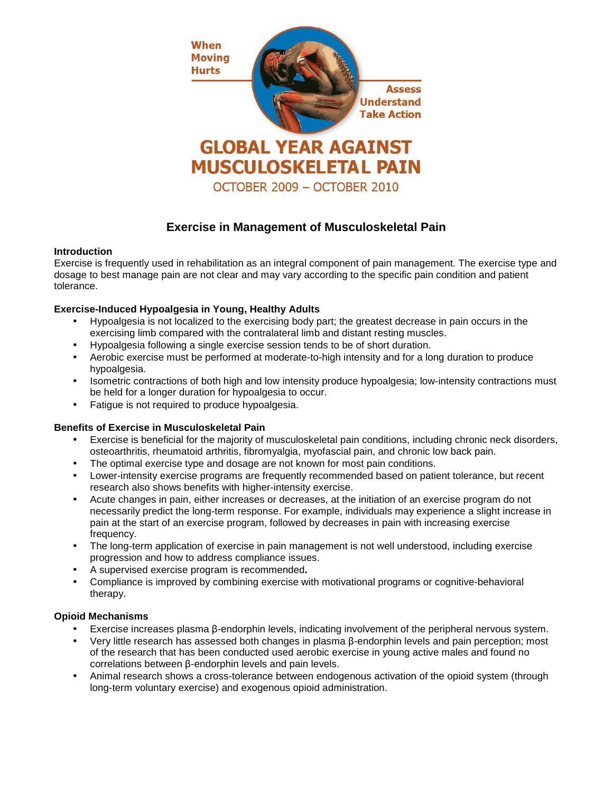

# **Exercise in Management of Musculoskeletal Pain**

## **Introduction**

Exercise is frequently used in rehabilitation as an integral component of pain management. The exercise type and dosage to best manage pain are not clear and may vary according to the specific pain condition and patient tolerance.

# **Exercise-Induced Hypoalgesia in Young, Healthy Adults**

- Hypoalgesia is not localized to the exercising body part; the greatest decrease in pain occurs in the exercising limb compared with the contralateral limb and distant resting muscles.
- Hypoalgesia following a single exercise session tends to be of short duration.
- Aerobic exercise must be performed at moderate-to-high intensity and for a long duration to produce hypoalgesia.
- Isometric contractions of both high and low intensity produce hypoalgesia; low-intensity contractions must be held for a longer duration for hypoalgesia to occur.
- Fatigue is not required to produce hypoalgesia.

# **Benefits of Exercise in Musculoskeletal Pain**

- Exercise is beneficial for the majority of musculoskeletal pain conditions, including chronic neck disorders, osteoarthritis, rheumatoid arthritis, fibromyalgia, myofascial pain, and chronic low back pain.
- The optimal exercise type and dosage are not known for most pain conditions.
- Lower-intensity exercise programs are frequently recommended based on patient tolerance, but recent research also shows benefits with higher-intensity exercise.
- Acute changes in pain, either increases or decreases, at the initiation of an exercise program do not necessarily predict the long-term response. For example, individuals may experience a slight increase in pain at the start of an exercise program, followed by decreases in pain with increasing exercise frequency.
- The long-term application of exercise in pain management is not well understood, including exercise progression and how to address compliance issues.
- A supervised exercise program is recommended**.**
- Compliance is improved by combining exercise with motivational programs or cognitive-behavioral therapy.

#### **Opioid Mechanisms**

- Exercise increases plasma β-endorphin levels, indicating involvement of the peripheral nervous system.
- Very little research has assessed both changes in plasma β-endorphin levels and pain perception; most of the research that has been conducted used aerobic exercise in young active males and found no correlations between β-endorphin levels and pain levels.
- Animal research shows a cross-tolerance between endogenous activation of the opioid system (through long-term voluntary exercise) and exogenous opioid administration.